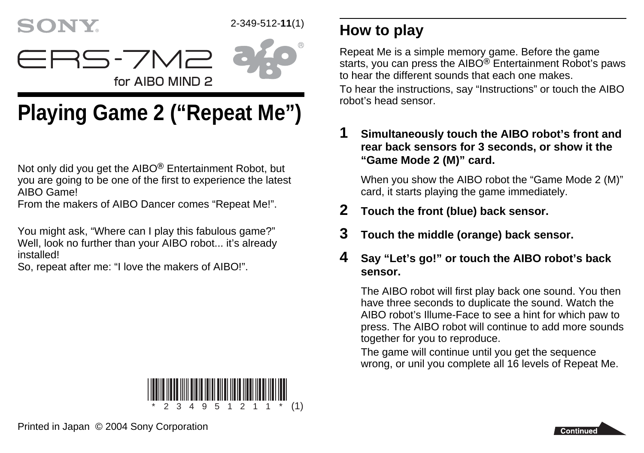## **SONY.**

## 2-349-512-**11**(1)



# **Playing Game 2 ("Repeat Me")**

for AIBO MIND 2

ERS-7M2

Not only did you get the AIBO® Entertainment Robot, but you are going to be one of the first to experience the latest AIBO Game!

From the makers of AIBO Dancer comes "Repeat Me!".

You might ask, "Where can I play this fabulous game?" Well, look no further than your AIBO robot... it's already installed!

So, repeat after me: "I love the makers of AIBO!".



## **How to play**

Repeat Me is a simple memory game. Before the game starts, you can press the  $AIBO^@$  Entertainment Robot's paws to hear the different sounds that each one makes. To hear the instructions, say "Instructions" or touch the AIBO robot's head sensor.

**1 Simultaneously touch the AIBO robot's front and rear back sensors for 3 seconds, or show it the "Game Mode 2 (M)" card.**

When you show the AIBO robot the "Game Mode 2 (M)" card, it starts playing the game immediately.

- **2 Touch the front (blue) back sensor.**
- **3 Touch the middle (orange) back sensor.**

#### **4 Say "Let's go!" or touch the AIBO robot's back sensor.**

The AIBO robot will first play back one sound. You then have three seconds to duplicate the sound. Watch the AIBO robot's Illume-Face to see a hint for which paw to press. The AIBO robot will continue to add more sounds together for you to reproduce.

The game will continue until you get the sequence wrong, or unil you complete all 16 levels of Repeat Me.